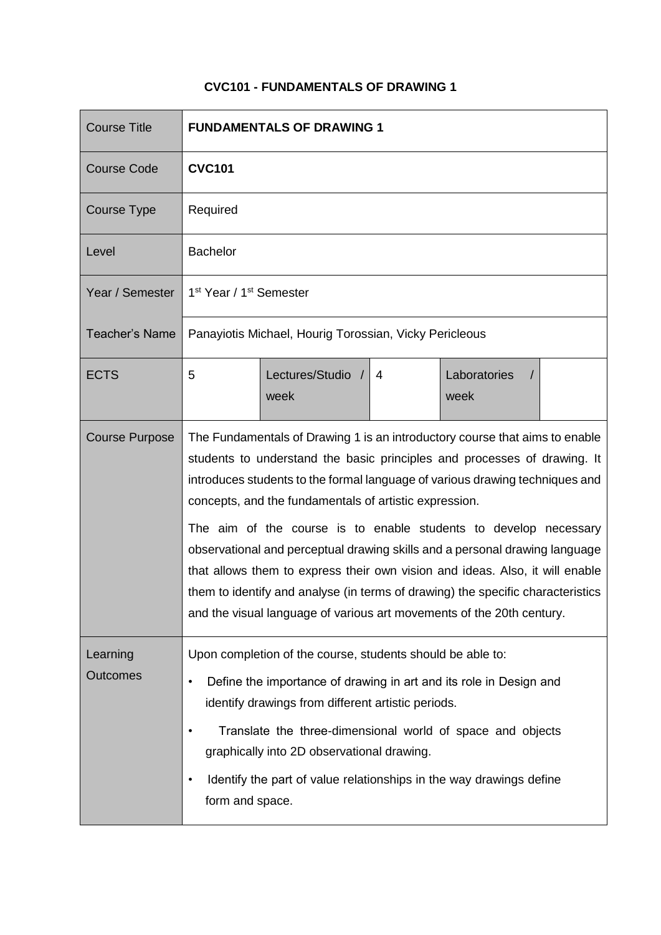## **CVC101 - FUNDAMENTALS OF DRAWING 1**

| <b>Course Title</b>         | <b>FUNDAMENTALS OF DRAWING 1</b>                                                                                                                                                                                                                                                                                                                                                                                                                                                                                                                                                                                                                                                                 |          |  |
|-----------------------------|--------------------------------------------------------------------------------------------------------------------------------------------------------------------------------------------------------------------------------------------------------------------------------------------------------------------------------------------------------------------------------------------------------------------------------------------------------------------------------------------------------------------------------------------------------------------------------------------------------------------------------------------------------------------------------------------------|----------|--|
| <b>Course Code</b>          | <b>CVC101</b>                                                                                                                                                                                                                                                                                                                                                                                                                                                                                                                                                                                                                                                                                    |          |  |
| <b>Course Type</b>          | Required                                                                                                                                                                                                                                                                                                                                                                                                                                                                                                                                                                                                                                                                                         |          |  |
| Level                       | <b>Bachelor</b>                                                                                                                                                                                                                                                                                                                                                                                                                                                                                                                                                                                                                                                                                  |          |  |
| Year / Semester             | 1 <sup>st</sup> Year / 1 <sup>st</sup> Semester                                                                                                                                                                                                                                                                                                                                                                                                                                                                                                                                                                                                                                                  |          |  |
| <b>Teacher's Name</b>       | Panayiotis Michael, Hourig Torossian, Vicky Pericleous                                                                                                                                                                                                                                                                                                                                                                                                                                                                                                                                                                                                                                           |          |  |
| <b>ECTS</b>                 | Lectures/Studio /<br>Laboratories<br>5<br>$\overline{4}$<br>week<br>week                                                                                                                                                                                                                                                                                                                                                                                                                                                                                                                                                                                                                         | $\prime$ |  |
| <b>Course Purpose</b>       | The Fundamentals of Drawing 1 is an introductory course that aims to enable<br>students to understand the basic principles and processes of drawing. It<br>introduces students to the formal language of various drawing techniques and<br>concepts, and the fundamentals of artistic expression.<br>The aim of the course is to enable students to develop necessary<br>observational and perceptual drawing skills and a personal drawing language<br>that allows them to express their own vision and ideas. Also, it will enable<br>them to identify and analyse (in terms of drawing) the specific characteristics<br>and the visual language of various art movements of the 20th century. |          |  |
| Learning<br><b>Outcomes</b> | Upon completion of the course, students should be able to:<br>Define the importance of drawing in art and its role in Design and<br>$\bullet$<br>identify drawings from different artistic periods.<br>Translate the three-dimensional world of space and objects<br>graphically into 2D observational drawing.<br>Identify the part of value relationships in the way drawings define<br>$\bullet$<br>form and space.                                                                                                                                                                                                                                                                           |          |  |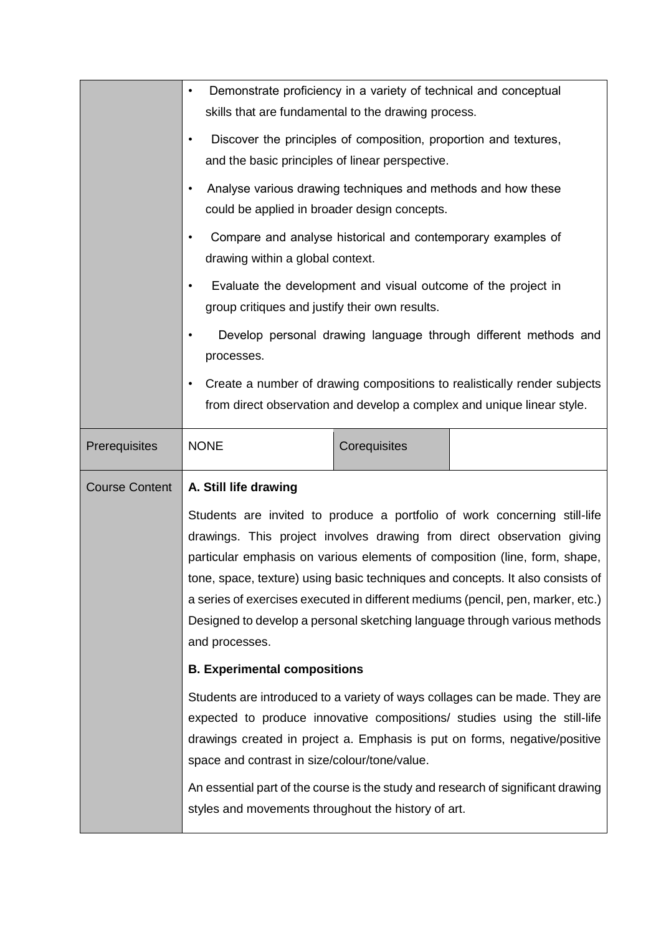|                       | Demonstrate proficiency in a variety of technical and conceptual<br>$\bullet$<br>skills that are fundamental to the drawing process.<br>Discover the principles of composition, proportion and textures,<br>$\bullet$<br>and the basic principles of linear perspective.<br>Analyse various drawing techniques and methods and how these<br>٠<br>could be applied in broader design concepts.<br>Compare and analyse historical and contemporary examples of<br>drawing within a global context.<br>Evaluate the development and visual outcome of the project in<br>group critiques and justify their own results.<br>Develop personal drawing language through different methods and<br>processes.<br>Create a number of drawing compositions to realistically render subjects<br>$\bullet$<br>from direct observation and develop a complex and unique linear style.                                                                                                                                     |              |  |
|-----------------------|-------------------------------------------------------------------------------------------------------------------------------------------------------------------------------------------------------------------------------------------------------------------------------------------------------------------------------------------------------------------------------------------------------------------------------------------------------------------------------------------------------------------------------------------------------------------------------------------------------------------------------------------------------------------------------------------------------------------------------------------------------------------------------------------------------------------------------------------------------------------------------------------------------------------------------------------------------------------------------------------------------------|--------------|--|
| Prerequisites         | <b>NONE</b>                                                                                                                                                                                                                                                                                                                                                                                                                                                                                                                                                                                                                                                                                                                                                                                                                                                                                                                                                                                                 | Corequisites |  |
| <b>Course Content</b> | A. Still life drawing<br>Students are invited to produce a portfolio of work concerning still-life<br>drawings. This project involves drawing from direct observation giving<br>particular emphasis on various elements of composition (line, form, shape,<br>tone, space, texture) using basic techniques and concepts. It also consists of<br>a series of exercises executed in different mediums (pencil, pen, marker, etc.)<br>Designed to develop a personal sketching language through various methods<br>and processes.<br><b>B. Experimental compositions</b><br>Students are introduced to a variety of ways collages can be made. They are<br>expected to produce innovative compositions/ studies using the still-life<br>drawings created in project a. Emphasis is put on forms, negative/positive<br>space and contrast in size/colour/tone/value.<br>An essential part of the course is the study and research of significant drawing<br>styles and movements throughout the history of art. |              |  |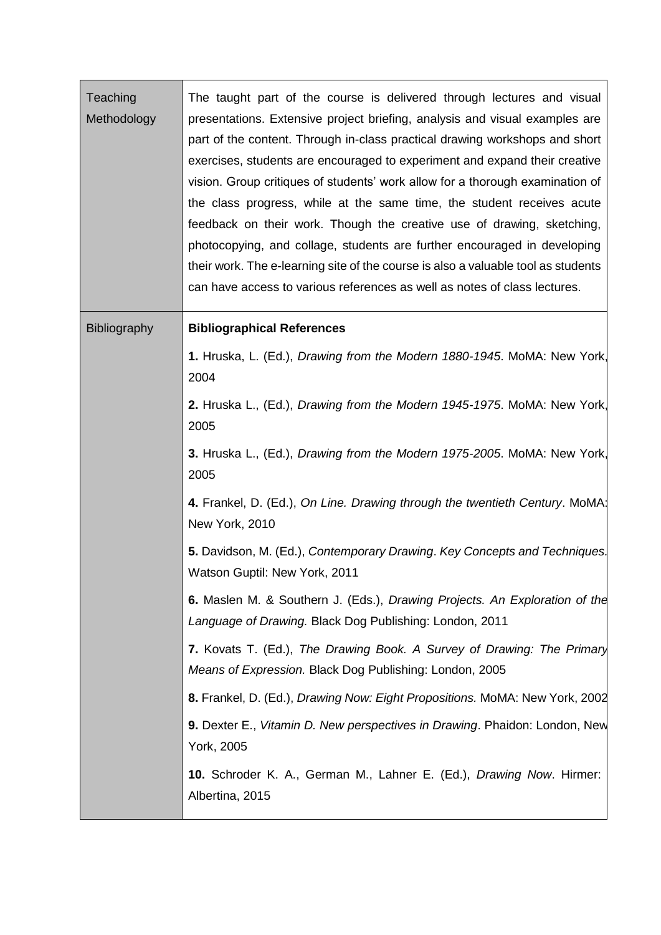| Teaching<br>Methodology | The taught part of the course is delivered through lectures and visual<br>presentations. Extensive project briefing, analysis and visual examples are<br>part of the content. Through in-class practical drawing workshops and short<br>exercises, students are encouraged to experiment and expand their creative<br>vision. Group critiques of students' work allow for a thorough examination of<br>the class progress, while at the same time, the student receives acute<br>feedback on their work. Though the creative use of drawing, sketching,<br>photocopying, and collage, students are further encouraged in developing<br>their work. The e-learning site of the course is also a valuable tool as students<br>can have access to various references as well as notes of class lectures. |
|-------------------------|-------------------------------------------------------------------------------------------------------------------------------------------------------------------------------------------------------------------------------------------------------------------------------------------------------------------------------------------------------------------------------------------------------------------------------------------------------------------------------------------------------------------------------------------------------------------------------------------------------------------------------------------------------------------------------------------------------------------------------------------------------------------------------------------------------|
| <b>Bibliography</b>     | <b>Bibliographical References</b>                                                                                                                                                                                                                                                                                                                                                                                                                                                                                                                                                                                                                                                                                                                                                                     |
|                         | 1. Hruska, L. (Ed.), <i>Drawing from the Modern 1880-1945</i> . MoMA: New York,<br>2004                                                                                                                                                                                                                                                                                                                                                                                                                                                                                                                                                                                                                                                                                                               |
|                         | 2. Hruska L., (Ed.), <i>Drawing from the Modern 1945-1975</i> . MoMA: New York,<br>2005                                                                                                                                                                                                                                                                                                                                                                                                                                                                                                                                                                                                                                                                                                               |
|                         | 3. Hruska L., (Ed.), Drawing from the Modern 1975-2005. MoMA: New York,<br>2005                                                                                                                                                                                                                                                                                                                                                                                                                                                                                                                                                                                                                                                                                                                       |
|                         | 4. Frankel, D. (Ed.), On Line. Drawing through the twentieth Century. MoMA:<br>New York, 2010                                                                                                                                                                                                                                                                                                                                                                                                                                                                                                                                                                                                                                                                                                         |
|                         | 5. Davidson, M. (Ed.), Contemporary Drawing. Key Concepts and Techniques.<br>Watson Guptil: New York, 2011                                                                                                                                                                                                                                                                                                                                                                                                                                                                                                                                                                                                                                                                                            |
|                         | 6. Maslen M. & Southern J. (Eds.), Drawing Projects. An Exploration of the<br>Language of Drawing. Black Dog Publishing: London, 2011                                                                                                                                                                                                                                                                                                                                                                                                                                                                                                                                                                                                                                                                 |
|                         | 7. Kovats T. (Ed.), The Drawing Book. A Survey of Drawing: The Primary<br>Means of Expression. Black Dog Publishing: London, 2005                                                                                                                                                                                                                                                                                                                                                                                                                                                                                                                                                                                                                                                                     |
|                         | 8. Frankel, D. (Ed.), Drawing Now: Eight Propositions. MoMA: New York, 2002                                                                                                                                                                                                                                                                                                                                                                                                                                                                                                                                                                                                                                                                                                                           |
|                         | 9. Dexter E., Vitamin D. New perspectives in Drawing. Phaidon: London, New<br>York, 2005                                                                                                                                                                                                                                                                                                                                                                                                                                                                                                                                                                                                                                                                                                              |
|                         | 10. Schroder K. A., German M., Lahner E. (Ed.), Drawing Now. Hirmer:<br>Albertina, 2015                                                                                                                                                                                                                                                                                                                                                                                                                                                                                                                                                                                                                                                                                                               |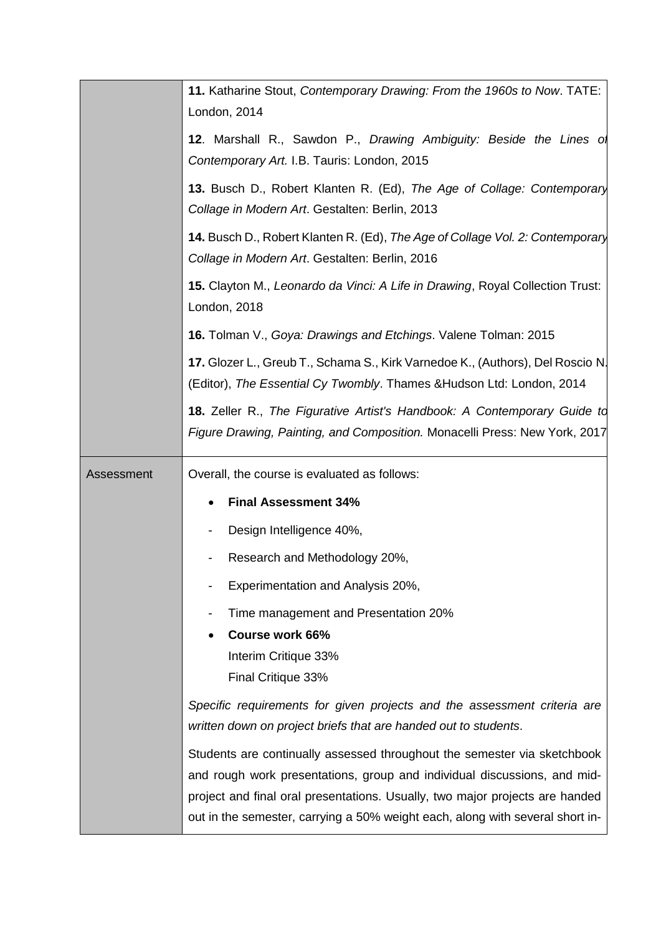|            | 11. Katharine Stout, Contemporary Drawing: From the 1960s to Now. TATE:<br>London, 2014                                                                       |
|------------|---------------------------------------------------------------------------------------------------------------------------------------------------------------|
|            | 12. Marshall R., Sawdon P., Drawing Ambiguity: Beside the Lines of<br>Contemporary Art. I.B. Tauris: London, 2015                                             |
|            | 13. Busch D., Robert Klanten R. (Ed), The Age of Collage: Contemporary<br>Collage in Modern Art. Gestalten: Berlin, 2013                                      |
|            | 14. Busch D., Robert Klanten R. (Ed), The Age of Collage Vol. 2: Contemporary<br>Collage in Modern Art. Gestalten: Berlin, 2016                               |
|            | 15. Clayton M., Leonardo da Vinci: A Life in Drawing, Royal Collection Trust:<br>London, 2018                                                                 |
|            | 16. Tolman V., Goya: Drawings and Etchings. Valene Tolman: 2015                                                                                               |
|            | 17. Glozer L., Greub T., Schama S., Kirk Varnedoe K., (Authors), Del Roscio N.<br>(Editor), The Essential Cy Twombly. Thames & Hudson Ltd: London, 2014       |
|            | <b>18.</b> Zeller R., The Figurative Artist's Handbook: A Contemporary Guide to<br>Figure Drawing, Painting, and Composition. Monacelli Press: New York, 2017 |
|            |                                                                                                                                                               |
| Assessment | Overall, the course is evaluated as follows:                                                                                                                  |
|            | <b>Final Assessment 34%</b>                                                                                                                                   |
|            | Design Intelligence 40%,                                                                                                                                      |
|            | Research and Methodology 20%,                                                                                                                                 |
|            | Experimentation and Analysis 20%,                                                                                                                             |
|            | Time management and Presentation 20%                                                                                                                          |
|            | <b>Course work 66%</b>                                                                                                                                        |
|            | Interim Critique 33%<br>Final Critique 33%                                                                                                                    |
|            | Specific requirements for given projects and the assessment criteria are<br>written down on project briefs that are handed out to students.                   |